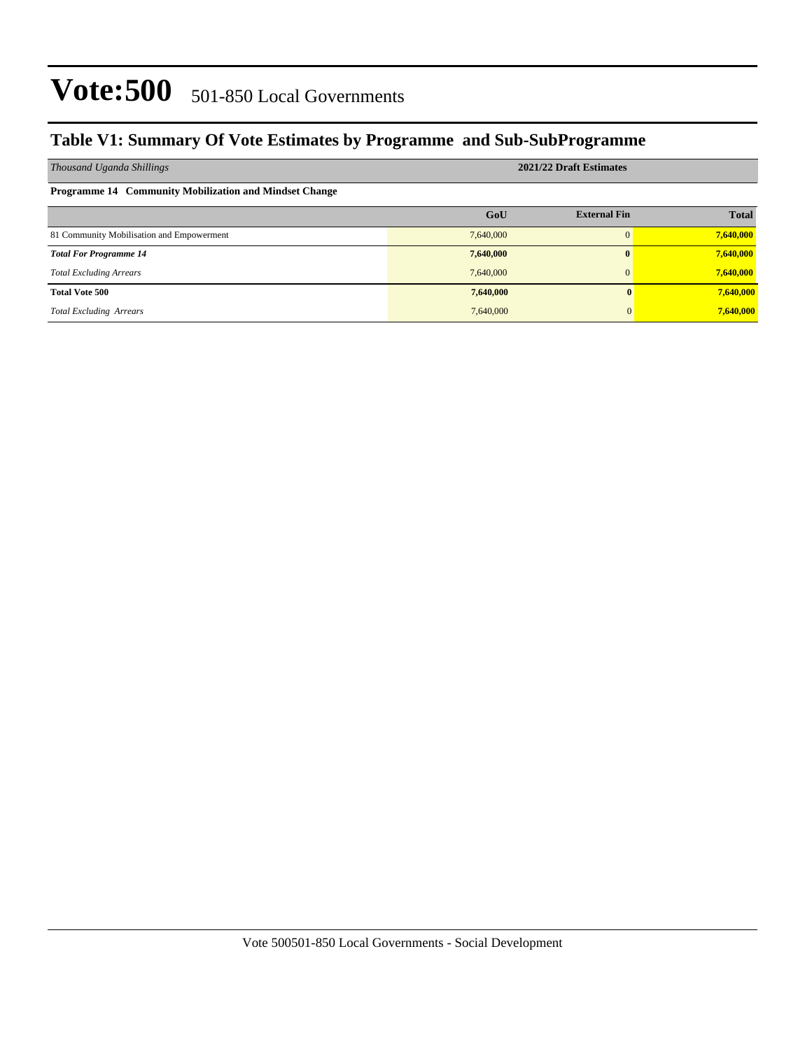#### **Table V1: Summary Of Vote Estimates by Programme and Sub-SubProgramme**

| Thousand Uganda Shillings                                     | 2021/22 Draft Estimates |                     |              |  |  |
|---------------------------------------------------------------|-------------------------|---------------------|--------------|--|--|
| <b>Programme 14 Community Mobilization and Mindset Change</b> |                         |                     |              |  |  |
|                                                               | GoU                     | <b>External Fin</b> | <b>Total</b> |  |  |
| 81 Community Mobilisation and Empowerment                     | 7,640,000               | $\Omega$            | 7,640,000    |  |  |
| <b>Total For Programme 14</b>                                 | 7,640,000               | $\mathbf{0}$        | 7,640,000    |  |  |
| <b>Total Excluding Arrears</b>                                | 7,640,000               | $\Omega$            | 7,640,000    |  |  |
| <b>Total Vote 500</b>                                         | 7,640,000               |                     | 7,640,000    |  |  |
| <b>Total Excluding Arrears</b>                                | 7,640,000               |                     | 7,640,000    |  |  |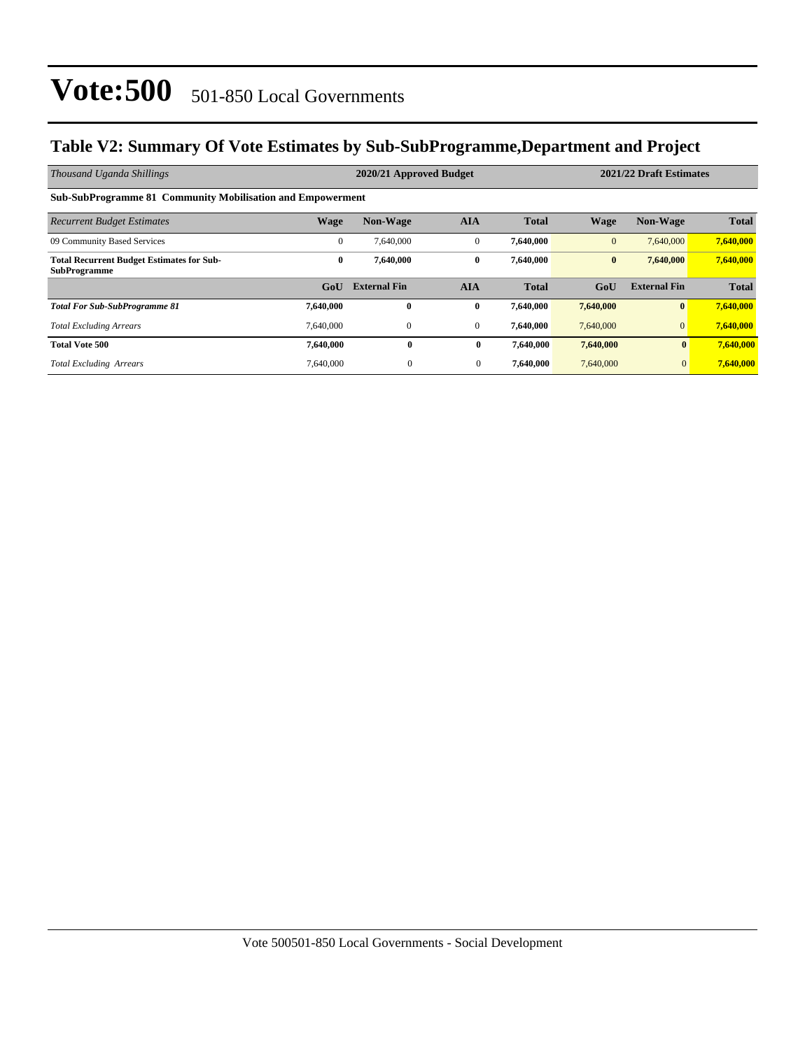#### **Table V2: Summary Of Vote Estimates by Sub-SubProgramme,Department and Project**

| Thousand Uganda Shillings                                               |                  | 2020/21 Approved Budget |                |              |              | 2021/22 Draft Estimates |              |  |  |
|-------------------------------------------------------------------------|------------------|-------------------------|----------------|--------------|--------------|-------------------------|--------------|--|--|
| Sub-SubProgramme 81 Community Mobilisation and Empowerment              |                  |                         |                |              |              |                         |              |  |  |
| <b>Recurrent Budget Estimates</b>                                       | <b>Wage</b>      | <b>Non-Wage</b>         | <b>AIA</b>     | <b>Total</b> | <b>Wage</b>  | <b>Non-Wage</b>         | <b>Total</b> |  |  |
| 09 Community Based Services                                             | $\mathbf{0}$     | 7.640,000               | $\mathbf{0}$   | 7,640,000    | $\mathbf{0}$ | 7,640,000               | 7,640,000    |  |  |
| <b>Total Recurrent Budget Estimates for Sub-</b><br><b>SubProgramme</b> | $\bf{0}$         | 7,640,000               | $\bf{0}$       | 7,640,000    | $\bf{0}$     | 7,640,000               | 7,640,000    |  |  |
|                                                                         | G <sub>0</sub> U | <b>External Fin</b>     | <b>AIA</b>     | <b>Total</b> | GoU          | <b>External Fin</b>     | <b>Total</b> |  |  |
| <b>Total For Sub-SubProgramme 81</b>                                    | 7.640.000        | $\bf{0}$                | $\bf{0}$       | 7,640,000    | 7,640,000    | $\mathbf{0}$            | 7,640,000    |  |  |
| <b>Total Excluding Arrears</b>                                          | 7.640.000        | $\mathbf{0}$            | $\mathbf{0}$   | 7,640,000    | 7,640,000    | $\mathbf{0}$            | 7,640,000    |  |  |
| <b>Total Vote 500</b>                                                   | 7,640,000        | $\bf{0}$                | $\bf{0}$       | 7,640,000    | 7,640,000    | $\mathbf{0}$            | 7,640,000    |  |  |
| <b>Total Excluding Arrears</b>                                          | 7.640.000        | $\theta$                | $\overline{0}$ | 7,640,000    | 7,640,000    | $\mathbf{0}$            | 7,640,000    |  |  |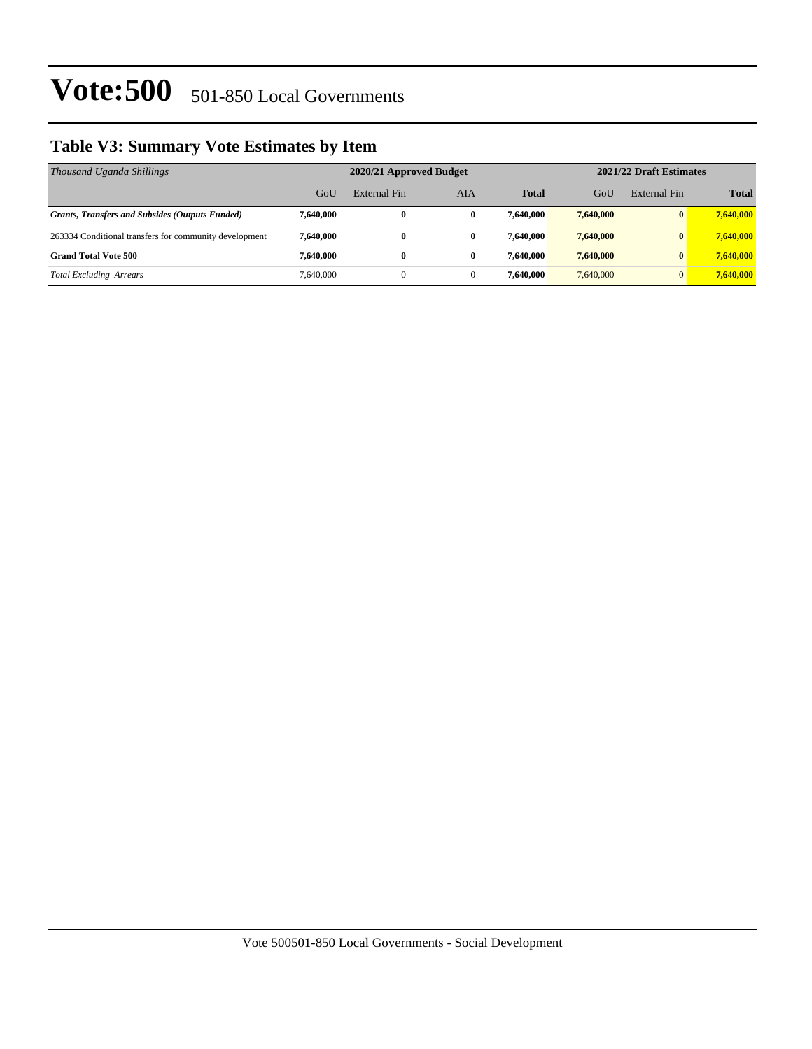### **Table V3: Summary Vote Estimates by Item**

| Thousand Uganda Shillings                              | 2020/21 Approved Budget |              |              |              | 2021/22 Draft Estimates |              |              |
|--------------------------------------------------------|-------------------------|--------------|--------------|--------------|-------------------------|--------------|--------------|
|                                                        | GoU                     | External Fin | AIA          | <b>Total</b> | GoU                     | External Fin | <b>Total</b> |
| <b>Grants, Transfers and Subsides (Outputs Funded)</b> | 7.640.000               | $\mathbf{0}$ | 0            | 7.640.000    | 7,640,000               | $\mathbf{0}$ | 7,640,000    |
| 263334 Conditional transfers for community development | 7.640.000               | $\mathbf{0}$ | 0            | 7.640.000    | 7,640,000               | $\mathbf{0}$ | 7,640,000    |
| <b>Grand Total Vote 500</b>                            | 7.640.000               | $\mathbf{0}$ | 0            | 7.640.000    | 7,640,000               | $\mathbf{0}$ | 7,640,000    |
| <b>Total Excluding Arrears</b>                         | 7.640,000               | $\Omega$     | $\mathbf{0}$ | 7.640.000    | 7.640,000               | $\mathbf{0}$ | 7.640.000    |